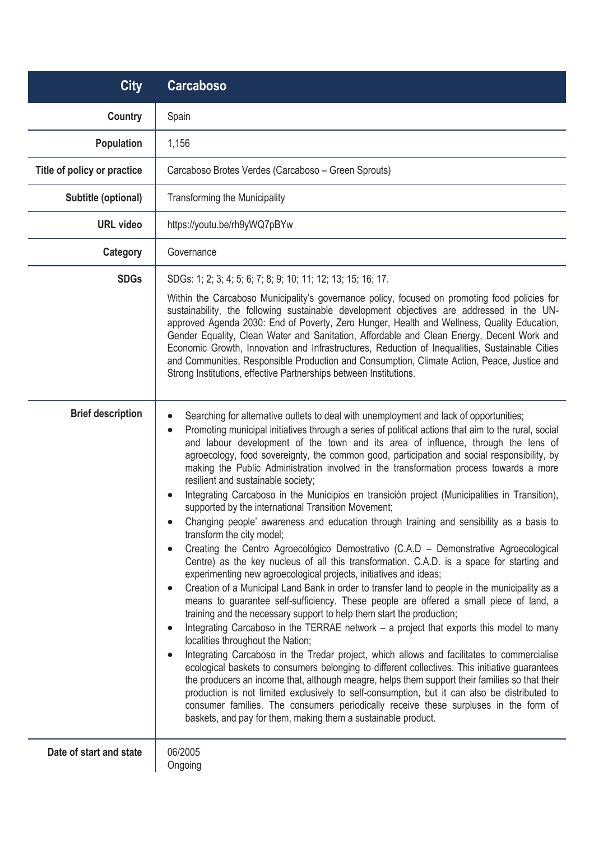| <b>City</b>                 | <b>Carcaboso</b>                                                                                                                                                                                                                                                                                                                                                                                                                                                                                                                                                                                                                                                                                                                                                                                                                                                                                                                                                                                                                                                                                                                                                                                                                                                                                                                                                                                                                                                                                                                                                                                                                                                                                                                                                                                                                                                                                                                                                                                                                         |
|-----------------------------|------------------------------------------------------------------------------------------------------------------------------------------------------------------------------------------------------------------------------------------------------------------------------------------------------------------------------------------------------------------------------------------------------------------------------------------------------------------------------------------------------------------------------------------------------------------------------------------------------------------------------------------------------------------------------------------------------------------------------------------------------------------------------------------------------------------------------------------------------------------------------------------------------------------------------------------------------------------------------------------------------------------------------------------------------------------------------------------------------------------------------------------------------------------------------------------------------------------------------------------------------------------------------------------------------------------------------------------------------------------------------------------------------------------------------------------------------------------------------------------------------------------------------------------------------------------------------------------------------------------------------------------------------------------------------------------------------------------------------------------------------------------------------------------------------------------------------------------------------------------------------------------------------------------------------------------------------------------------------------------------------------------------------------------|
| <b>Country</b>              | Spain                                                                                                                                                                                                                                                                                                                                                                                                                                                                                                                                                                                                                                                                                                                                                                                                                                                                                                                                                                                                                                                                                                                                                                                                                                                                                                                                                                                                                                                                                                                                                                                                                                                                                                                                                                                                                                                                                                                                                                                                                                    |
| <b>Population</b>           | 1,156                                                                                                                                                                                                                                                                                                                                                                                                                                                                                                                                                                                                                                                                                                                                                                                                                                                                                                                                                                                                                                                                                                                                                                                                                                                                                                                                                                                                                                                                                                                                                                                                                                                                                                                                                                                                                                                                                                                                                                                                                                    |
| Title of policy or practice | Carcaboso Brotes Verdes (Carcaboso - Green Sprouts)                                                                                                                                                                                                                                                                                                                                                                                                                                                                                                                                                                                                                                                                                                                                                                                                                                                                                                                                                                                                                                                                                                                                                                                                                                                                                                                                                                                                                                                                                                                                                                                                                                                                                                                                                                                                                                                                                                                                                                                      |
| Subtitle (optional)         | <b>Transforming the Municipality</b>                                                                                                                                                                                                                                                                                                                                                                                                                                                                                                                                                                                                                                                                                                                                                                                                                                                                                                                                                                                                                                                                                                                                                                                                                                                                                                                                                                                                                                                                                                                                                                                                                                                                                                                                                                                                                                                                                                                                                                                                     |
| <b>URL video</b>            | https://youtu.be/rh9yWQ7pBYw                                                                                                                                                                                                                                                                                                                                                                                                                                                                                                                                                                                                                                                                                                                                                                                                                                                                                                                                                                                                                                                                                                                                                                                                                                                                                                                                                                                                                                                                                                                                                                                                                                                                                                                                                                                                                                                                                                                                                                                                             |
| Category                    | Governance                                                                                                                                                                                                                                                                                                                                                                                                                                                                                                                                                                                                                                                                                                                                                                                                                                                                                                                                                                                                                                                                                                                                                                                                                                                                                                                                                                                                                                                                                                                                                                                                                                                                                                                                                                                                                                                                                                                                                                                                                               |
| <b>SDGs</b>                 | SDGs: 1; 2; 3; 4; 5; 6; 7; 8; 9; 10; 11; 12; 13; 15; 16; 17.<br>Within the Carcaboso Municipality's governance policy, focused on promoting food policies for<br>sustainability, the following sustainable development objectives are addressed in the UN-<br>approved Agenda 2030: End of Poverty, Zero Hunger, Health and Wellness, Quality Education,<br>Gender Equality, Clean Water and Sanitation, Affordable and Clean Energy, Decent Work and<br>Economic Growth, Innovation and Infrastructures, Reduction of Inequalities, Sustainable Cities<br>and Communities, Responsible Production and Consumption, Climate Action, Peace, Justice and<br>Strong Institutions, effective Partnerships between Institutions.                                                                                                                                                                                                                                                                                                                                                                                                                                                                                                                                                                                                                                                                                                                                                                                                                                                                                                                                                                                                                                                                                                                                                                                                                                                                                                              |
| <b>Brief description</b>    | Searching for alternative outlets to deal with unemployment and lack of opportunities;<br>Promoting municipal initiatives through a series of political actions that aim to the rural, social<br>$\bullet$<br>and labour development of the town and its area of influence, through the lens of<br>agroecology, food sovereignty, the common good, participation and social responsibility, by<br>making the Public Administration involved in the transformation process towards a more<br>resilient and sustainable society;<br>Integrating Carcaboso in the Municipios en transición project (Municipalities in Transition),<br>supported by the international Transition Movement;<br>Changing people' awareness and education through training and sensibility as a basis to<br>transform the city model;<br>Creating the Centro Agroecológico Demostrativo (C.A.D - Demonstrative Agroecological<br>Centre) as the key nucleus of all this transformation. C.A.D. is a space for starting and<br>experimenting new agroecological projects, initiatives and ideas;<br>Creation of a Municipal Land Bank in order to transfer land to people in the municipality as a<br>means to guarantee self-sufficiency. These people are offered a small piece of land, a<br>training and the necessary support to help them start the production;<br>Integrating Carcaboso in the TERRAE network - a project that exports this model to many<br>localities throughout the Nation;<br>Integrating Carcaboso in the Tredar project, which allows and facilitates to commercialise<br>ecological baskets to consumers belonging to different collectives. This initiative guarantees<br>the producers an income that, although meagre, helps them support their families so that their<br>production is not limited exclusively to self-consumption, but it can also be distributed to<br>consumer families. The consumers periodically receive these surpluses in the form of<br>baskets, and pay for them, making them a sustainable product. |
| Date of start and state     | 06/2005<br>Ongoing                                                                                                                                                                                                                                                                                                                                                                                                                                                                                                                                                                                                                                                                                                                                                                                                                                                                                                                                                                                                                                                                                                                                                                                                                                                                                                                                                                                                                                                                                                                                                                                                                                                                                                                                                                                                                                                                                                                                                                                                                       |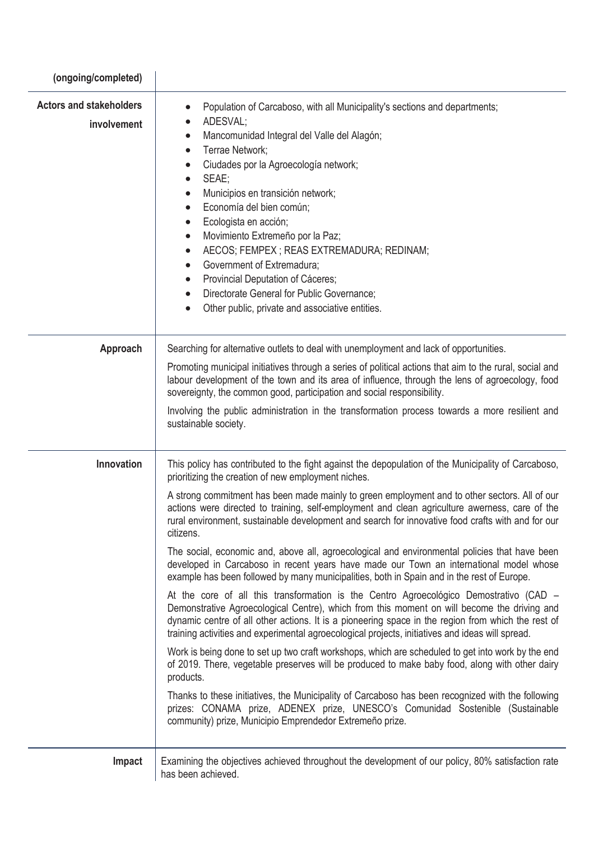| (ongoing/completed)                           |                                                                                                                                                                                                                                                                                                                                                                                                                                                                                                                                                                                                                                                                    |
|-----------------------------------------------|--------------------------------------------------------------------------------------------------------------------------------------------------------------------------------------------------------------------------------------------------------------------------------------------------------------------------------------------------------------------------------------------------------------------------------------------------------------------------------------------------------------------------------------------------------------------------------------------------------------------------------------------------------------------|
| <b>Actors and stakeholders</b><br>involvement | Population of Carcaboso, with all Municipality's sections and departments;<br>ADESVAL;<br>$\bullet$<br>Mancomunidad Integral del Valle del Alagón;<br>Terrae Network;<br>$\bullet$<br>Ciudades por la Agroecología network;<br>SEAE;<br>$\bullet$<br>Municipios en transición network;<br>Economía del bien común;<br>Ecologista en acción;<br>$\bullet$<br>Movimiento Extremeño por la Paz;<br>$\bullet$<br>AECOS; FEMPEX ; REAS EXTREMADURA; REDINAM;<br>$\bullet$<br>Government of Extremadura;<br>$\bullet$<br>Provincial Deputation of Cáceres;<br>Directorate General for Public Governance;<br>$\bullet$<br>Other public, private and associative entities. |
| Approach                                      | Searching for alternative outlets to deal with unemployment and lack of opportunities.                                                                                                                                                                                                                                                                                                                                                                                                                                                                                                                                                                             |
|                                               | Promoting municipal initiatives through a series of political actions that aim to the rural, social and<br>labour development of the town and its area of influence, through the lens of agroecology, food<br>sovereignty, the common good, participation and social responsibility.                                                                                                                                                                                                                                                                                                                                                                               |
|                                               | Involving the public administration in the transformation process towards a more resilient and<br>sustainable society.                                                                                                                                                                                                                                                                                                                                                                                                                                                                                                                                             |
| <b>Innovation</b>                             | This policy has contributed to the fight against the depopulation of the Municipality of Carcaboso,<br>prioritizing the creation of new employment niches.                                                                                                                                                                                                                                                                                                                                                                                                                                                                                                         |
|                                               | A strong commitment has been made mainly to green employment and to other sectors. All of our<br>actions were directed to training, self-employment and clean agriculture awerness, care of the<br>rural environment, sustainable development and search for innovative food crafts with and for our<br>citizens.                                                                                                                                                                                                                                                                                                                                                  |
|                                               | The social, economic and, above all, agroecological and environmental policies that have been<br>developed in Carcaboso in recent years have made our Town an international model whose<br>example has been followed by many municipalities, both in Spain and in the rest of Europe.                                                                                                                                                                                                                                                                                                                                                                              |
|                                               | At the core of all this transformation is the Centro Agroecológico Demostrativo (CAD –<br>Demonstrative Agroecological Centre), which from this moment on will become the driving and<br>dynamic centre of all other actions. It is a pioneering space in the region from which the rest of<br>training activities and experimental agroecological projects, initiatives and ideas will spread.                                                                                                                                                                                                                                                                    |
|                                               | Work is being done to set up two craft workshops, which are scheduled to get into work by the end<br>of 2019. There, vegetable preserves will be produced to make baby food, along with other dairy<br>products.                                                                                                                                                                                                                                                                                                                                                                                                                                                   |
|                                               | Thanks to these initiatives, the Municipality of Carcaboso has been recognized with the following<br>prizes: CONAMA prize, ADENEX prize, UNESCO's Comunidad Sostenible (Sustainable<br>community) prize, Municipio Emprendedor Extremeño prize.                                                                                                                                                                                                                                                                                                                                                                                                                    |
| Impact                                        | Examining the objectives achieved throughout the development of our policy, 80% satisfaction rate<br>has been achieved.                                                                                                                                                                                                                                                                                                                                                                                                                                                                                                                                            |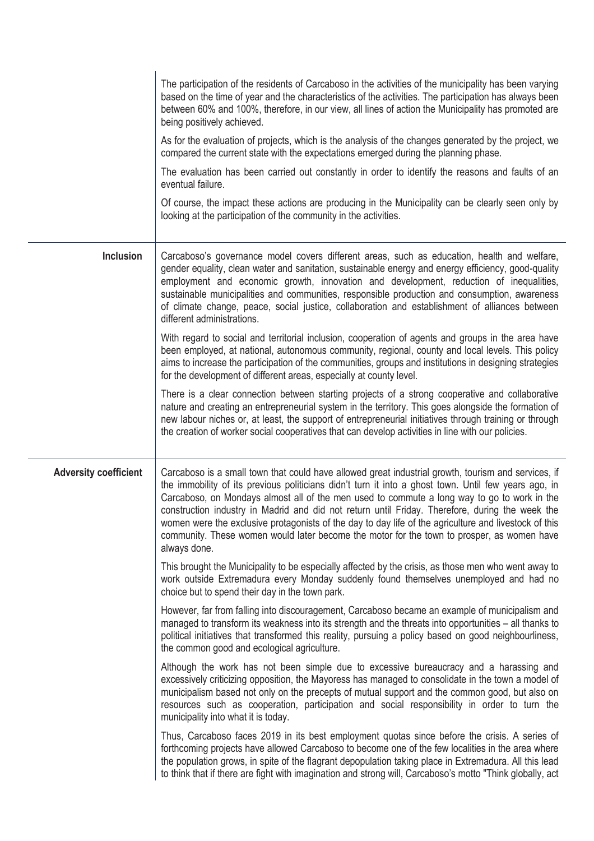|                              | The participation of the residents of Carcaboso in the activities of the municipality has been varying<br>based on the time of year and the characteristics of the activities. The participation has always been<br>between 60% and 100%, therefore, in our view, all lines of action the Municipality has promoted are<br>being positively achieved.<br>As for the evaluation of projects, which is the analysis of the changes generated by the project, we<br>compared the current state with the expectations emerged during the planning phase.<br>The evaluation has been carried out constantly in order to identify the reasons and faults of an<br>eventual failure.<br>Of course, the impact these actions are producing in the Municipality can be clearly seen only by<br>looking at the participation of the community in the activities.                                                                   |
|------------------------------|--------------------------------------------------------------------------------------------------------------------------------------------------------------------------------------------------------------------------------------------------------------------------------------------------------------------------------------------------------------------------------------------------------------------------------------------------------------------------------------------------------------------------------------------------------------------------------------------------------------------------------------------------------------------------------------------------------------------------------------------------------------------------------------------------------------------------------------------------------------------------------------------------------------------------|
| <b>Inclusion</b>             | Carcaboso's governance model covers different areas, such as education, health and welfare,<br>gender equality, clean water and sanitation, sustainable energy and energy efficiency, good-quality<br>employment and economic growth, innovation and development, reduction of inequalities,<br>sustainable municipalities and communities, responsible production and consumption, awareness<br>of climate change, peace, social justice, collaboration and establishment of alliances between<br>different administrations.<br>With regard to social and territorial inclusion, cooperation of agents and groups in the area have<br>been employed, at national, autonomous community, regional, county and local levels. This policy<br>aims to increase the participation of the communities, groups and institutions in designing strategies<br>for the development of different areas, especially at county level. |
|                              | There is a clear connection between starting projects of a strong cooperative and collaborative<br>nature and creating an entrepreneurial system in the territory. This goes alongside the formation of<br>new labour niches or, at least, the support of entrepreneurial initiatives through training or through<br>the creation of worker social cooperatives that can develop activities in line with our policies.                                                                                                                                                                                                                                                                                                                                                                                                                                                                                                   |
| <b>Adversity coefficient</b> | Carcaboso is a small town that could have allowed great industrial growth, tourism and services, if<br>the immobility of its previous politicians didn't turn it into a ghost town. Until few years ago, in<br>Carcaboso, on Mondays almost all of the men used to commute a long way to go to work in the<br>construction industry in Madrid and did not return until Friday. Therefore, during the week the<br>women were the exclusive protagonists of the day to day life of the agriculture and livestock of this<br>community. These women would later become the motor for the town to prosper, as women have<br>always done.                                                                                                                                                                                                                                                                                     |
|                              | This brought the Municipality to be especially affected by the crisis, as those men who went away to<br>work outside Extremadura every Monday suddenly found themselves unemployed and had no<br>choice but to spend their day in the town park.                                                                                                                                                                                                                                                                                                                                                                                                                                                                                                                                                                                                                                                                         |
|                              | However, far from falling into discouragement, Carcaboso became an example of municipalism and<br>managed to transform its weakness into its strength and the threats into opportunities - all thanks to<br>political initiatives that transformed this reality, pursuing a policy based on good neighbourliness,<br>the common good and ecological agriculture.                                                                                                                                                                                                                                                                                                                                                                                                                                                                                                                                                         |
|                              | Although the work has not been simple due to excessive bureaucracy and a harassing and<br>excessively criticizing opposition, the Mayoress has managed to consolidate in the town a model of<br>municipalism based not only on the precepts of mutual support and the common good, but also on<br>resources such as cooperation, participation and social responsibility in order to turn the<br>municipality into what it is today.                                                                                                                                                                                                                                                                                                                                                                                                                                                                                     |
|                              | Thus, Carcaboso faces 2019 in its best employment quotas since before the crisis. A series of<br>forthcoming projects have allowed Carcaboso to become one of the few localities in the area where<br>the population grows, in spite of the flagrant depopulation taking place in Extremadura. All this lead<br>to think that if there are fight with imagination and strong will, Carcaboso's motto "Think globally, act                                                                                                                                                                                                                                                                                                                                                                                                                                                                                                |